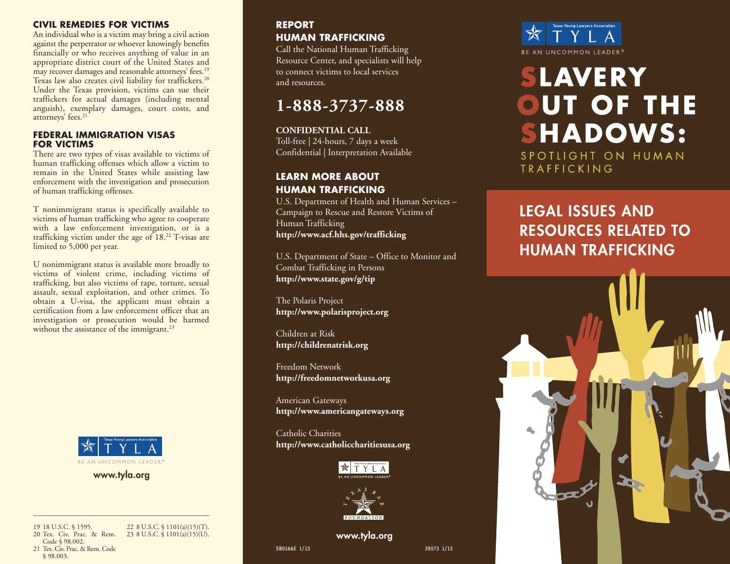## **CIVIL REMEDIES FOR VICTIMS**

An individual who is a victim may bring a civil action against the perpetrator or whoever knowingly benefits financially or who receives anything of value in an appropriate district court of the United States and may recover damages and reasonable attorneys' fees. 19 Texas law also creates civil liability for traffickers. 20 Under the Texas provision, victims can sue their traffickers for actual damages (including mental anguish), exemplary damages, court costs, and attorneys' fees. 21

### **FEDERAL IMMIGRATION VISAS FOR VICTIMS**

There are two types of visas available to victims of human trafficking offenses which allow a victim to remain in the United States while assisting law enforcement with the investigation and prosecution of human trafficking offenses.

T nonimmigrant status is specifically available to victims of human trafficking who agree to cooperate with a law enforcement investigation, or is a trafficking victim under the age of 18. <sup>22</sup> T-visas are limited to 5,000 per year.

U nonimmigrant status is available more broadly to victims of violent crime, including victims of trafficking, but also victims of rape, torture, sexual assault, sexual exploitation, and other crimes. To obtain a U-visa, the applicant must obtain a certification from a law enforcement officer that an investigation or prosecution would be harmed without the assistance of the immigrant.<sup>23</sup>



**www.tyla.org**

19 18 U.S.C. § 1595. 20 Tex. Civ. Prac. & Rem. Code § 98.002.

22 8 U.S.C. § 1101(a)(15)(T). 23 8 U.S.C. § 1101(a)(15)(U).

21 Tex. Civ. Prac. & Rem. Code § 98.003.

## **REPORT HUMAN TRAFFICKING**

Call the National Human Trafficking Resource Center, and specialists will help to connect victims to local services and resources.

## **1-888-3737-888**

**CONFIDENTIAL CALL** Toll-free | 24-hours, 7 days a week Confidential | Interpretation Available

## **LEARN MORE ABOUT HUMAN TRAFFICKING**

U.S. Department of Health and Human Services – Campaign to Rescue and Restore Victims of Human Trafficking **http://www.acf.hhs.gov/trafficking**

U.S. Department of State – Office to Monitor and Combat Trafficking in Persons **http://www.state.gov/g/tip**

The Polaris Project **http://www.polarisproject.org**

Children at Risk **http://childrenatrisk.org**

Freedom Network **http://freedomnetworkusa.org**

American Gateways **http://www.americangateways.org**

Catholic Charities **http://www.catholiccharitiesusa.org**





**www.tyla.org**

SB0166E 1/13 39573 1/13



# **SLAVERY** OUT OF THE **SHADOWS:** SPOTLIGHT ON HUMAN TRAFFICKING

## **LEGAL ISSUES AND RESOURCES RELATED TO HUMAN TRAFFICKING**